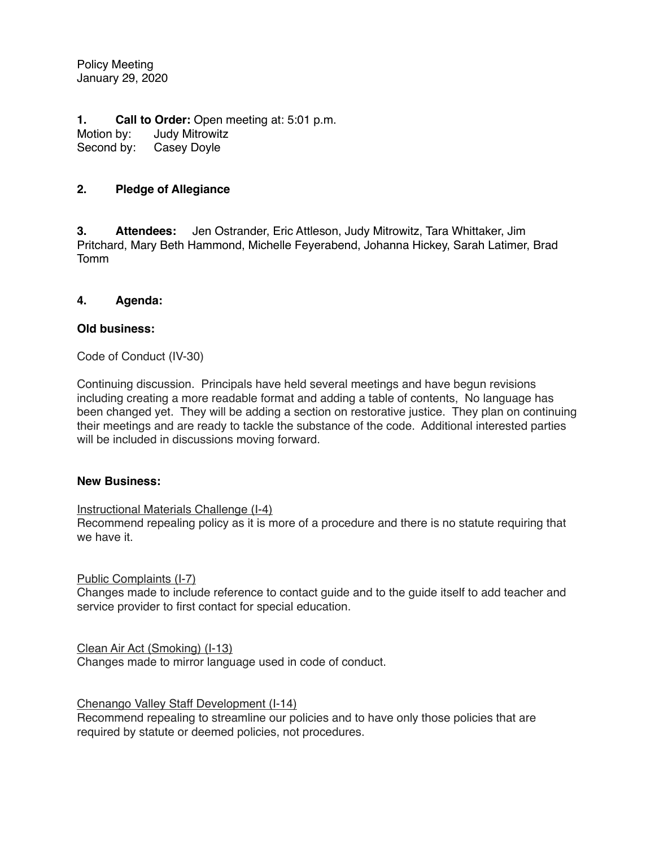Policy Meeting January 29, 2020

**1. Call to Order:** Open meeting at: 5:01 p.m.<br>Motion by: Judy Mitrowitz Judy Mitrowitz Second by: Casey Doyle

# **2. Pledge of Allegiance**

**3. Attendees:** Jen Ostrander, Eric Attleson, Judy Mitrowitz, Tara Whittaker, Jim Pritchard, Mary Beth Hammond, Michelle Feyerabend, Johanna Hickey, Sarah Latimer, Brad Tomm

## **4. Agenda:**

## **Old business:**

Code of Conduct (IV-30)

Continuing discussion. Principals have held several meetings and have begun revisions including creating a more readable format and adding a table of contents, No language has been changed yet. They will be adding a section on restorative justice. They plan on continuing their meetings and are ready to tackle the substance of the code. Additional interested parties will be included in discussions moving forward.

#### **New Business:**

Instructional Materials Challenge (I-4)

Recommend repealing policy as it is more of a procedure and there is no statute requiring that we have it.

#### Public Complaints (I-7)

Changes made to include reference to contact guide and to the guide itself to add teacher and service provider to first contact for special education.

Clean Air Act (Smoking) (I-13)

Changes made to mirror language used in code of conduct.

Chenango Valley Staff Development (I-14)

Recommend repealing to streamline our policies and to have only those policies that are required by statute or deemed policies, not procedures.